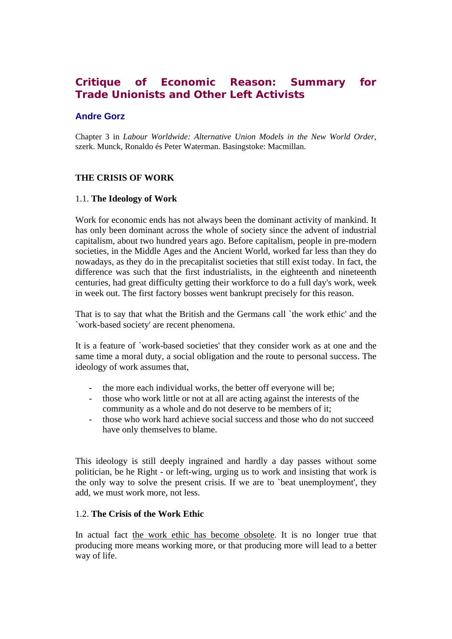# **Critique of Economic Reason: Summary for Trade Unionists and Other Left Activists**

# **Andre Gorz**

Chapter 3 in *Labour Worldwide: Alternative Union Models in the New World Order*, szerk. Munck, Ronaldo és Peter Waterman. Basingstoke: Macmillan.

# **THE CRISIS OF WORK**

#### 1.1. **The Ideology of Work**

Work for economic ends has not always been the dominant activity of mankind. It has only been dominant across the whole of society since the advent of industrial capitalism, about two hundred years ago. Before capitalism, people in pre-modern societies, in the Middle Ages and the Ancient World, worked far less than they do nowadays, as they do in the precapitalist societies that still exist today. In fact, the difference was such that the first industrialists, in the eighteenth and nineteenth centuries, had great difficulty getting their workforce to do a full day's work, week in week out. The first factory bosses went bankrupt precisely for this reason.

That is to say that what the British and the Germans call `the work ethic' and the `work-based society' are recent phenomena.

It is a feature of `work-based societies' that they consider work as at one and the same time a moral duty, a social obligation and the route to personal success. The ideology of work assumes that,

- the more each individual works, the better off everyone will be;
- those who work little or not at all are acting against the interests of the community as a whole and do not deserve to be members of it;
- those who work hard achieve social success and those who do not succeed have only themselves to blame.

This ideology is still deeply ingrained and hardly a day passes without some politician, be he Right - or left-wing, urging us to work and insisting that work is the only way to solve the present crisis. If we are to `beat unemployment', they add, we must work more, not less.

#### 1.2. **The Crisis of the Work Ethic**

In actual fact the work ethic has become obsolete. It is no longer true that producing more means working more, or that producing more will lead to a better way of life.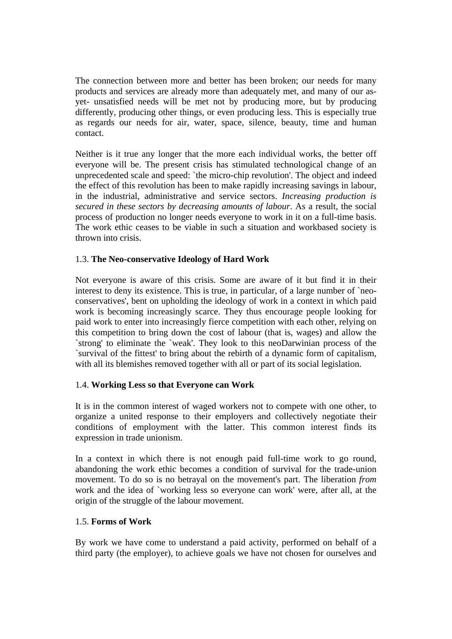The connection between more and better has been broken; our needs for many products and services are already more than adequately met, and many of our asyet- unsatisfied needs will be met not by producing more, but by producing differently, producing other things, or even producing less. This is especially true as regards our needs for air, water, space, silence, beauty, time and human contact.

Neither is it true any longer that the more each individual works, the better off everyone will be. The present crisis has stimulated technological change of an unprecedented scale and speed: `the micro-chip revolution'. The object and indeed the effect of this revolution has been to make rapidly increasing savings in labour, in the industrial, administrative and service sectors. *Increasing production is secured in these sectors by decreasing amounts of labour*. As a result, the social process of production no longer needs everyone to work in it on a full-time basis. The work ethic ceases to be viable in such a situation and workbased society is thrown into crisis.

# 1.3. **The Neo-conservative Ideology of Hard Work**

Not everyone is aware of this crisis. Some are aware of it but find it in their interest to deny its existence. This is true, in particular, of a large number of `neoconservatives', bent on upholding the ideology of work in a context in which paid work is becoming increasingly scarce. They thus encourage people looking for paid work to enter into increasingly fierce competition with each other, relying on this competition to bring down the cost of labour (that is, wages) and allow the `strong' to eliminate the `weak'. They look to this neoDarwinian process of the `survival of the fittest' to bring about the rebirth of a dynamic form of capitalism, with all its blemishes removed together with all or part of its social legislation.

# 1.4. **Working Less so that Everyone can Work**

It is in the common interest of waged workers not to compete with one other, to organize a united response to their employers and collectively negotiate their conditions of employment with the latter. This common interest finds its expression in trade unionism.

In a context in which there is not enough paid full-time work to go round, abandoning the work ethic becomes a condition of survival for the trade-union movement. To do so is no betrayal on the movement's part. The liberation *from* work and the idea of `working less so everyone can work' were, after all, at the origin of the struggle of the labour movement.

#### 1.5. **Forms of Work**

By work we have come to understand a paid activity, performed on behalf of a third party (the employer), to achieve goals we have not chosen for ourselves and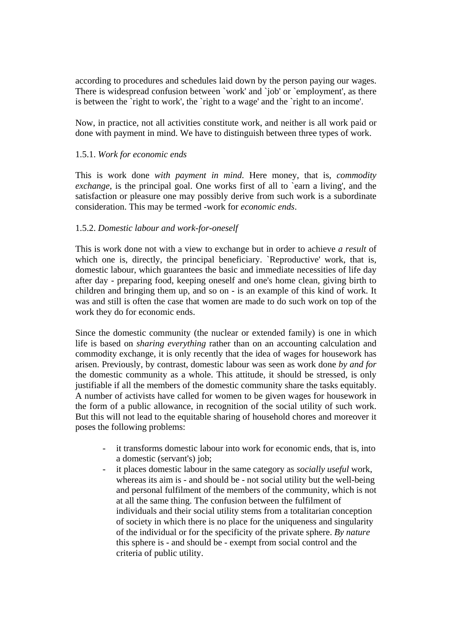according to procedures and schedules laid down by the person paying our wages. There is widespread confusion between 'work' and 'job' or 'employment', as there is between the `right to work', the `right to a wage' and the `right to an income'.

Now, in practice, not all activities constitute work, and neither is all work paid or done with payment in mind. We have to distinguish between three types of work.

### 1.5.1. *Work for economic ends*

This is work done *with payment in mind*. Here money, that is, *commodity exchange*, is the principal goal. One works first of all to 'earn a living', and the satisfaction or pleasure one may possibly derive from such work is a subordinate consideration. This may be termed -work for *economic ends*.

### 1.5.2. *Domestic labour and work-for-oneself*

This is work done not with a view to exchange but in order to achieve *a result* of which one is, directly, the principal beneficiary. `Reproductive' work, that is, domestic labour, which guarantees the basic and immediate necessities of life day after day - preparing food, keeping oneself and one's home clean, giving birth to children and bringing them up, and so on - is an example of this kind of work. It was and still is often the case that women are made to do such work on top of the work they do for economic ends.

Since the domestic community (the nuclear or extended family) is one in which life is based on *sharing everything* rather than on an accounting calculation and commodity exchange, it is only recently that the idea of wages for housework has arisen. Previously, by contrast, domestic labour was seen as work done *by and for* the domestic community as a whole. This attitude, it should be stressed, is only justifiable if all the members of the domestic community share the tasks equitably. A number of activists have called for women to be given wages for housework in the form of a public allowance, in recognition of the social utility of such work. But this will not lead to the equitable sharing of household chores and moreover it poses the following problems:

- it transforms domestic labour into work for economic ends, that is, into a domestic (servant's) job;
- it places domestic labour in the same category as *socially useful* work, whereas its aim is - and should be - not social utility but the well-being and personal fulfilment of the members of the community, which is not at all the same thing. The confusion between the fulfilment of individuals and their social utility stems from a totalitarian conception of society in which there is no place for the uniqueness and singularity of the individual or for the specificity of the private sphere. *By nature* this sphere is - and should be - exempt from social control and the criteria of public utility.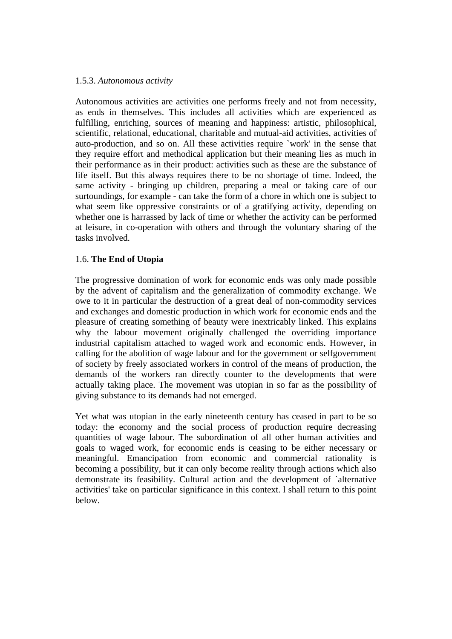#### 1.5.3. *Autonomous activity*

Autonomous activities are activities one performs freely and not from necessity, as ends in themselves. This includes all activities which are experienced as fulfilling, enriching, sources of meaning and happiness: artistic, philosophical, scientific, relational, educational, charitable and mutual-aid activities, activities of auto-production, and so on. All these activities require `work' in the sense that they require effort and methodical application but their meaning lies as much in their performance as in their product: activities such as these are the substance of life itself. But this always requires there to be no shortage of time. Indeed, the same activity - bringing up children, preparing a meal or taking care of our surtoundings, for example - can take the form of a chore in which one is subject to what seem like oppressive constraints or of a gratifying activity, depending on whether one is harrassed by lack of time or whether the activity can be performed at leisure, in co-operation with others and through the voluntary sharing of the tasks involved.

#### 1.6. **The End of Utopia**

The progressive domination of work for economic ends was only made possible by the advent of capitalism and the generalization of commodity exchange. We owe to it in particular the destruction of a great deal of non-commodity services and exchanges and domestic production in which work for economic ends and the pleasure of creating something of beauty were inextricably linked. This explains why the labour movement originally challenged the overriding importance industrial capitalism attached to waged work and economic ends. However, in calling for the abolition of wage labour and for the government or selfgovernment of society by freely associated workers in control of the means of production, the demands of the workers ran directly counter to the developments that were actually taking place. The movement was utopian in so far as the possibility of giving substance to its demands had not emerged.

Yet what was utopian in the early nineteenth century has ceased in part to be so today: the economy and the social process of production require decreasing quantities of wage labour. The subordination of all other human activities and goals to waged work, for economic ends is ceasing to be either necessary or meaningful. Emancipation from economic and commercial rationality is becoming a possibility, but it can only become reality through actions which also demonstrate its feasibility. Cultural action and the development of `alternative activities' take on particular significance in this context. l shall return to this point below.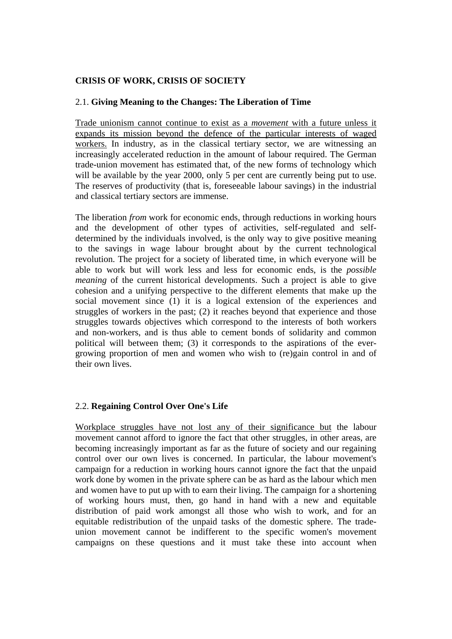### **CRISIS OF WORK, CRISIS OF SOCIETY**

#### 2.1. **Giving Meaning to the Changes: The Liberation of Time**

Trade unionism cannot continue to exist as a *movement* with a future unless it expands its mission beyond the defence of the particular interests of waged workers. In industry, as in the classical tertiary sector, we are witnessing an increasingly accelerated reduction in the amount of labour required. The German trade-union movement has estimated that, of the new forms of technology which will be available by the year 2000, only 5 per cent are currently being put to use. The reserves of productivity (that is, foreseeable labour savings) in the industrial and classical tertiary sectors are immense.

The liberation *from* work for economic ends, through reductions in working hours and the development of other types of activities, self-regulated and selfdetermined by the individuals involved, is the only way to give positive meaning to the savings in wage labour brought about by the current technological revolution. The project for a society of liberated time, in which everyone will be able to work but will work less and less for economic ends, is the *possible meaning* of the current historical developments. Such a project is able to give cohesion and a unifying perspective to the different elements that make up the social movement since (1) it is a logical extension of the experiences and struggles of workers in the past; (2) it reaches beyond that experience and those struggles towards objectives which correspond to the interests of both workers and non-workers, and is thus able to cement bonds of solidarity and common political will between them; (3) it corresponds to the aspirations of the evergrowing proportion of men and women who wish to (re)gain control in and of their own lives.

# 2.2. **Regaining Control Over One's Life**

Workplace struggles have not lost any of their significance but the labour movement cannot afford to ignore the fact that other struggles, in other areas, are becoming increasingly important as far as the future of society and our regaining control over our own lives is concerned. In particular, the labour movement's campaign for a reduction in working hours cannot ignore the fact that the unpaid work done by women in the private sphere can be as hard as the labour which men and women have to put up with to earn their living. The campaign for a shortening of working hours must, then, go hand in hand with a new and equitable distribution of paid work amongst all those who wish to work, and for an equitable redistribution of the unpaid tasks of the domestic sphere. The tradeunion movement cannot be indifferent to the specific women's movement campaigns on these questions and it must take these into account when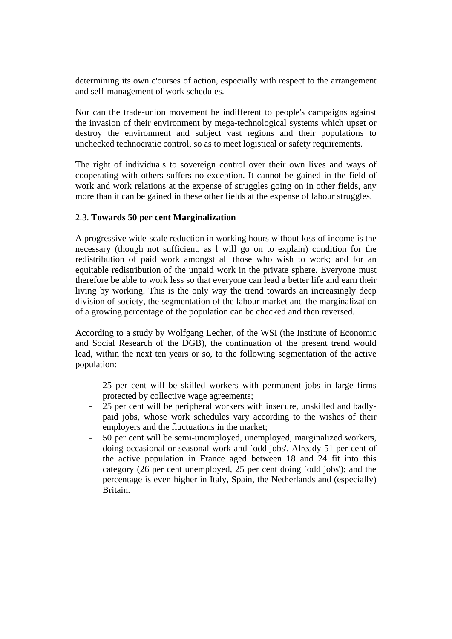determining its own c'ourses of action, especially with respect to the arrangement and self-management of work schedules.

Nor can the trade-union movement be indifferent to people's campaigns against the invasion of their environment by mega-technological systems which upset or destroy the environment and subject vast regions and their populations to unchecked technocratic control, so as to meet logistical or safety requirements.

The right of individuals to sovereign control over their own lives and ways of cooperating with others suffers no exception. It cannot be gained in the field of work and work relations at the expense of struggles going on in other fields, any more than it can be gained in these other fields at the expense of labour struggles.

### 2.3. **Towards 50 per cent Marginalization**

A progressive wide-scale reduction in working hours without loss of income is the necessary (though not sufficient, as l will go on to explain) condition for the redistribution of paid work amongst all those who wish to work; and for an equitable redistribution of the unpaid work in the private sphere. Everyone must therefore be able to work less so that everyone can lead a better life and earn their living by working. This is the only way the trend towards an increasingly deep division of society, the segmentation of the labour market and the marginalization of a growing percentage of the population can be checked and then reversed.

According to a study by Wolfgang Lecher, of the WSI (the Institute of Economic and Social Research of the DGB), the continuation of the present trend would lead, within the next ten years or so, to the following segmentation of the active population:

- 25 per cent will be skilled workers with permanent jobs in large firms protected by collective wage agreements;
- 25 per cent will be peripheral workers with insecure, unskilled and badlypaid jobs, whose work schedules vary according to the wishes of their employers and the fluctuations in the market;
- 50 per cent will be semi-unemployed, unemployed, marginalized workers, doing occasional or seasonal work and `odd jobs'. Already 51 per cent of the active population in France aged between 18 and 24 fit into this category (26 per cent unemployed, 25 per cent doing `odd jobs'); and the percentage is even higher in Italy, Spain, the Netherlands and (especially) Britain.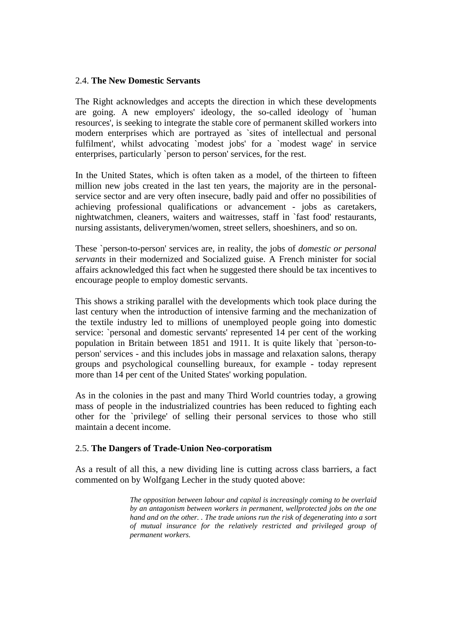#### 2.4. **The New Domestic Servants**

The Right acknowledges and accepts the direction in which these developments are going. A new employers' ideology, the so-called ideology of `human resources', is seeking to integrate the stable core of permanent skilled workers into modern enterprises which are portrayed as `sites of intellectual and personal fulfilment', whilst advocating `modest jobs' for a `modest wage' in service enterprises, particularly `person to person' services, for the rest.

In the United States, which is often taken as a model, of the thirteen to fifteen million new jobs created in the last ten years, the majority are in the personalservice sector and are very often insecure, badly paid and offer no possibilities of achieving professional qualifications or advancement - jobs as caretakers, nightwatchmen, cleaners, waiters and waitresses, staff in `fast food' restaurants, nursing assistants, deliverymen/women, street sellers, shoeshiners, and so on.

These `person-to-person' services are, in reality, the jobs of *domestic or personal servants* in their modernized and Socialized guise. A French minister for social affairs acknowledged this fact when he suggested there should be tax incentives to encourage people to employ domestic servants.

This shows a striking parallel with the developments which took place during the last century when the introduction of intensive farming and the mechanization of the textile industry led to millions of unemployed people going into domestic service: `personal and domestic servants' represented 14 per cent of the working population in Britain between 1851 and 1911. It is quite likely that `person-toperson' services - and this includes jobs in massage and relaxation salons, therapy groups and psychological counselling bureaux, for example - today represent more than 14 per cent of the United States' working population.

As in the colonies in the past and many Third World countries today, a growing mass of people in the industrialized countries has been reduced to fighting each other for the `privilege' of selling their personal services to those who still maintain a decent income.

#### 2.5. **The Dangers of Trade-Union Neo-corporatism**

As a result of all this, a new dividing line is cutting across class barriers, a fact commented on by Wolfgang Lecher in the study quoted above:

> *The opposition between labour and capital is increasingly coming to be overlaid by an antagonism between workers in permanent, wellprotected jobs on the one hand and on the other. . The trade unions run the risk of degenerating into a sort of mutual insurance for the relatively restricted and privileged group of permanent workers.*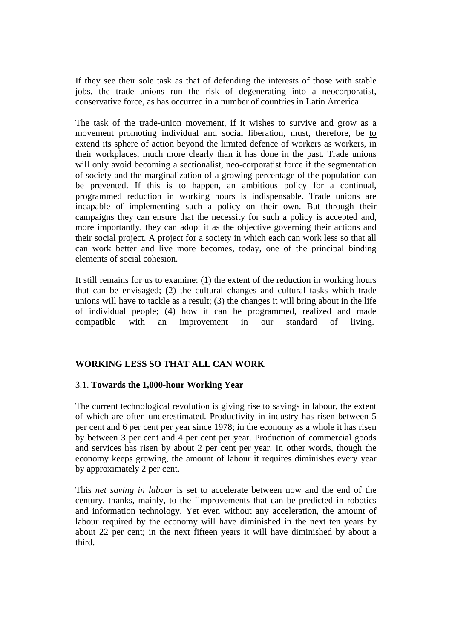If they see their sole task as that of defending the interests of those with stable jobs, the trade unions run the risk of degenerating into a neocorporatist, conservative force, as has occurred in a number of countries in Latin America.

The task of the trade-union movement, if it wishes to survive and grow as a movement promoting individual and social liberation, must, therefore, be to extend its sphere of action beyond the limited defence of workers as workers, in their workplaces, much more clearly than it has done in the past. Trade unions will only avoid becoming a sectionalist, neo-corporatist force if the segmentation of society and the marginalization of a growing percentage of the population can be prevented. If this is to happen, an ambitious policy for a continual, programmed reduction in working hours is indispensable. Trade unions are incapable of implementing such a policy on their own. But through their campaigns they can ensure that the necessity for such a policy is accepted and, more importantly, they can adopt it as the objective governing their actions and their social project. A project for a society in which each can work less so that all can work better and live more becomes, today, one of the principal binding elements of social cohesion.

It still remains for us to examine: (1) the extent of the reduction in working hours that can be envisaged; (2) the cultural changes and cultural tasks which trade unions will have to tackle as a result; (3) the changes it will bring about in the life of individual people; (4) how it can be programmed, realized and made compatible with an improvement in our standard of living.

# **WORKING LESS SO THAT ALL CAN WORK**

# 3.1. **Towards the 1,000-hour Working Year**

The current technological revolution is giving rise to savings in labour, the extent of which are often underestimated. Productivity in industry has risen between 5 per cent and 6 per cent per year since 1978; in the economy as a whole it has risen by between 3 per cent and 4 per cent per year. Production of commercial goods and services has risen by about 2 per cent per year. In other words, though the economy keeps growing, the amount of labour it requires diminishes every year by approximately 2 per cent.

This *net saving in labour* is set to accelerate between now and the end of the century, thanks, mainly, to the `improvements that can be predicted in robotics and information technology. Yet even without any acceleration, the amount of labour required by the economy will have diminished in the next ten years by about 22 per cent; in the next fifteen years it will have diminished by about a third.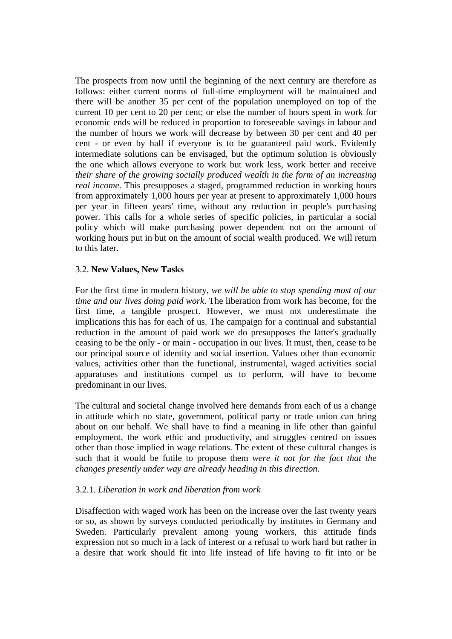The prospects from now until the beginning of the next century are therefore as follows: either current norms of full-time employment will be maintained and there will be another 35 per cent of the population unemployed on top of the current 10 per cent to 20 per cent; or else the number of hours spent in work for economic ends will be reduced in proportion to foreseeable savings in labour and the number of hours we work will decrease by between 30 per cent and 40 per cent - or even by half if everyone is to be guaranteed paid work. Evidently intermediate solutions can be envisaged, but the optimum solution is obviously the one which allows everyone to work but work less, work better and receive *their share of the growing socially produced wealth in the form of an increasing real income*. This presupposes a staged, programmed reduction in working hours from approximately 1,000 hours per year at present to approximately 1,000 hours per year in fifteen years' time, without any reduction in people's purchasing power. This calls for a whole series of specific policies, in particular a social policy which will make purchasing power dependent not on the amount of working hours put in but on the amount of social wealth produced. We will return to this later.

### 3.2. **New Values, New Tasks**

For the first time in modern history, *we will be able to stop spending most of our time and our lives doing paid work*. The liberation from work has become, for the first time, a tangible prospect. However, we must not underestimate the implications this has for each of us. The campaign for a continual and substantial reduction in the amount of paid work we do presupposes the latter's gradually ceasing to be the only - or main - occupation in our lives. It must, then, cease to be our principal source of identity and social insertion. Values other than economic values, activities other than the functional, instrumental, waged activities social apparatuses and institutions compel us to perform, will have to become predominant in our lives.

The cultural and societal change involved here demands from each of us a change in attitude which no state, government, political party or trade union can bring about on our behalf. We shall have to find a meaning in life other than gainful employment, the work ethic and productivity, and struggles centred on issues other than those implied in wage relations. The extent of these cultural changes is such that it would be futile to propose them *were it not for the fact that the changes presently under way are already heading in this direction*.

#### 3.2.1. *Liberation in work and liberation from work*

Disaffection with waged work has been on the increase over the last twenty years or so, as shown by surveys conducted periodically by institutes in Germany and Sweden. Particularly prevalent among young workers, this attitude finds expression not so much in a lack of interest or a refusal to work hard but rather in a desire that work should fit into life instead of life having to fit into or be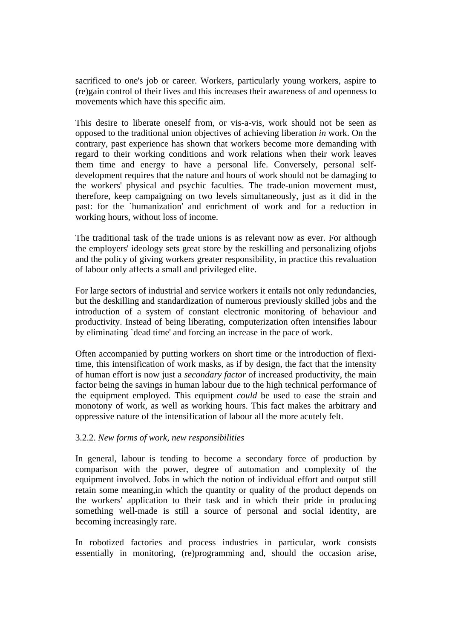sacrificed to one's job or career. Workers, particularly young workers, aspire to (re)gain control of their lives and this increases their awareness of and openness to movements which have this specific aim.

This desire to liberate oneself from, or vis-a-vis, work should not be seen as opposed to the traditional union objectives of achieving liberation *in* work. On the contrary, past experience has shown that workers become more demanding with regard to their working conditions and work relations when their work leaves them time and energy to have a personal life. Conversely, personal selfdevelopment requires that the nature and hours of work should not be damaging to the workers' physical and psychic faculties. The trade-union movement must, therefore, keep campaigning on two levels simultaneously, just as it did in the past: for the `humanization' and enrichment of work and for a reduction in working hours, without loss of income.

The traditional task of the trade unions is as relevant now as ever. For although the employers' ideology sets great store by the reskilling and personalizing ofjobs and the policy of giving workers greater responsibility, in practice this revaluation of labour only affects a small and privileged elite.

For large sectors of industrial and service workers it entails not only redundancies, but the deskilling and standardization of numerous previously skilled jobs and the introduction of a system of constant electronic monitoring of behaviour and productivity. Instead of being liberating, computerization often intensifies labour by eliminating `dead time' and forcing an increase in the pace of work.

Often accompanied by putting workers on short time or the introduction of flexitime, this intensification of work masks, as if by design, the fact that the intensity of human effort is now just a *secondary factor* of increased productivity, the main factor being the savings in human labour due to the high technical performance of the equipment employed. This equipment *could* be used to ease the strain and monotony of work, as well as working hours. This fact makes the arbitrary and oppressive nature of the intensification of labour all the more acutely felt.

#### 3.2.2. *New forms of work, new responsibilities*

In general, labour is tending to become a secondary force of production by comparison with the power, degree of automation and complexity of the equipment involved. Jobs in which the notion of individual effort and output still retain some meaning,in which the quantity or quality of the product depends on the workers' application to their task and in which their pride in producing something well-made is still a source of personal and social identity, are becoming increasingly rare.

In robotized factories and process industries in particular, work consists essentially in monitoring, (re)programming and, should the occasion arise,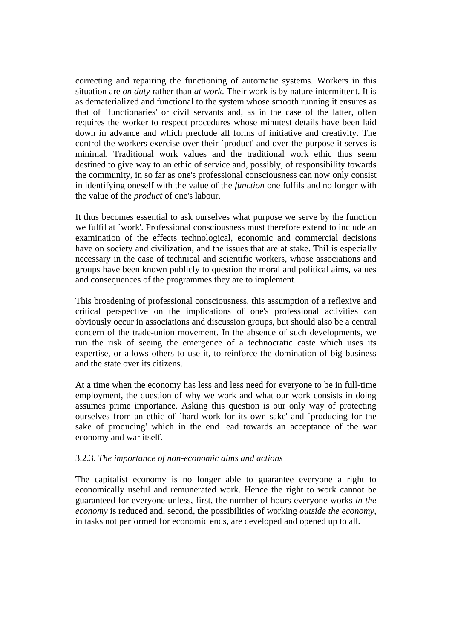correcting and repairing the functioning of automatic systems. Workers in this situation are *on duty* rather than *at work*. Their work is by nature intermittent. It is as dematerialized and functional to the system whose smooth running it ensures as that of `functionaries' or civil servants and, as in the case of the latter, often requires the worker to respect procedures whose minutest details have been laid down in advance and which preclude all forms of initiative and creativity. The control the workers exercise over their `product' and over the purpose it serves is minimal. Traditional work values and the traditional work ethic thus seem destined to give way to an ethic of service and, possibly, of responsibility towards the community, in so far as one's professional consciousness can now only consist in identifying oneself with the value of the *function* one fulfils and no longer with the value of the *product* of one's labour.

It thus becomes essential to ask ourselves what purpose we serve by the function we fulfil at `work'. Professional consciousness must therefore extend to include an examination of the effects technological, economic and commercial decisions have on society and civilization, and the issues that are at stake. Thil is especially necessary in the case of technical and scientific workers, whose associations and groups have been known publicly to question the moral and political aims, values and consequences of the programmes they are to implement.

This broadening of professional consciousness, this assumption of a reflexive and critical perspective on the implications of one's professional activities can obviously occur in associations and discussion groups, but should also be a central concern of the trade-union movement. In the absence of such developments, we run the risk of seeing the emergence of a technocratic caste which uses its expertise, or allows others to use it, to reinforce the domination of big business and the state over its citizens.

At a time when the economy has less and less need for everyone to be in full-time employment, the question of why we work and what our work consists in doing assumes prime importance. Asking this question is our only way of protecting ourselves from an ethic of `hard work for its own sake' and `producing for the sake of producing' which in the end lead towards an acceptance of the war economy and war itself.

#### 3.2.3. *The importance of non-economic aims and actions*

The capitalist economy is no longer able to guarantee everyone a right to economically useful and remunerated work. Hence the right to work cannot be guaranteed for everyone unless, first, the number of hours everyone works *in the economy* is reduced and, second, the possibilities of working *outside the economy*, in tasks not performed for economic ends, are developed and opened up to all.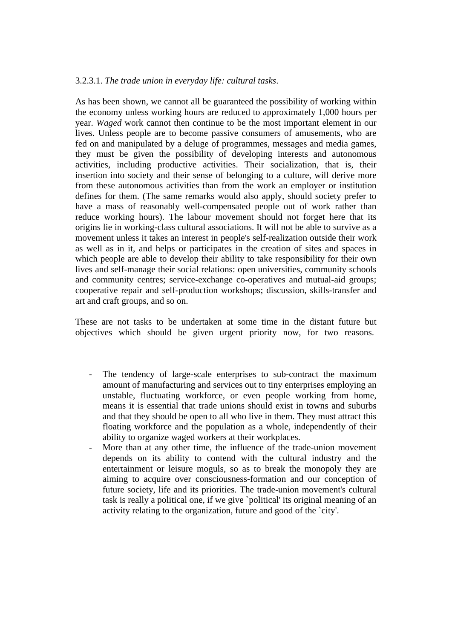#### 3.2.3.1. *The trade union in everyday life: cultural tasks*.

As has been shown, we cannot all be guaranteed the possibility of working within the economy unless working hours are reduced to approximately 1,000 hours per year. *Waged* work cannot then continue to be the most important element in our lives. Unless people are to become passive consumers of amusements, who are fed on and manipulated by a deluge of programmes, messages and media games, they must be given the possibility of developing interests and autonomous activities, including productive activities. Their socialization, that is, their insertion into society and their sense of belonging to a culture, will derive more from these autonomous activities than from the work an employer or institution defines for them. (The same remarks would also apply, should society prefer to have a mass of reasonably well-compensated people out of work rather than reduce working hours). The labour movement should not forget here that its origins lie in working-class cultural associations. It will not be able to survive as a movement unless it takes an interest in people's self-realization outside their work as well as in it, and helps or participates in the creation of sites and spaces in which people are able to develop their ability to take responsibility for their own lives and self-manage their social relations: open universities, community schools and community centres; service-exchange co-operatives and mutual-aid groups; cooperative repair and self-production workshops; discussion, skills-transfer and art and craft groups, and so on.

These are not tasks to be undertaken at some time in the distant future but objectives which should be given urgent priority now, for two reasons.

- The tendency of large-scale enterprises to sub-contract the maximum amount of manufacturing and services out to tiny enterprises employing an unstable, fluctuating workforce, or even people working from home, means it is essential that trade unions should exist in towns and suburbs and that they should be open to all who live in them. They must attract this floating workforce and the population as a whole, independently of their ability to organize waged workers at their workplaces.
- More than at any other time, the influence of the trade-union movement depends on its ability to contend with the cultural industry and the entertainment or leisure moguls, so as to break the monopoly they are aiming to acquire over consciousness-formation and our conception of future society, life and its priorities. The trade-union movement's cultural task is really a political one, if we give `political' its original meaning of an activity relating to the organization, future and good of the `city'.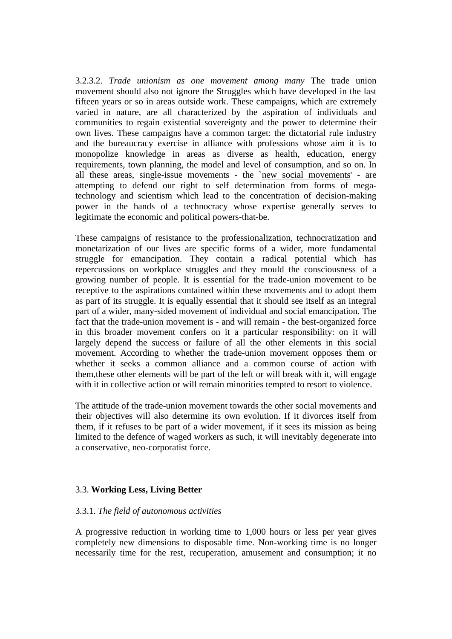3.2.3.2. *Trade unionism as one movement among many* The trade union movement should also not ignore the Struggles which have developed in the last fifteen years or so in areas outside work. These campaigns, which are extremely varied in nature, are all characterized by the aspiration of individuals and communities to regain existential sovereignty and the power to determine their own lives. These campaigns have a common target: the dictatorial rule industry and the bureaucracy exercise in alliance with professions whose aim it is to monopolize knowledge in areas as diverse as health, education, energy requirements, town planning, the model and level of consumption, and so on. In all these areas, single-issue movements - the `new social movements' - are attempting to defend our right to self determination from forms of megatechnology and scientism which lead to the concentration of decision-making power in the hands of a technocracy whose expertise generally serves to legitimate the economic and political powers-that-be.

These campaigns of resistance to the professionalization, technocratization and monetarization of our lives are specific forms of a wider, more fundamental struggle for emancipation. They contain a radical potential which has repercussions on workplace struggles and they mould the consciousness of a growing number of people. It is essential for the trade-union movement to be receptive to the aspirations contained within these movements and to adopt them as part of its struggle. It is equally essential that it should see itself as an integral part of a wider, many-sided movement of individual and social emancipation. The fact that the trade-union movement is - and will remain - the best-organized force in this broader movement confers on it a particular responsibility: on it will largely depend the success or failure of all the other elements in this social movement. According to whether the trade-union movement opposes them or whether it seeks a common alliance and a common course of action with them,these other elements will be part of the left or will break with it, will engage with it in collective action or will remain minorities tempted to resort to violence.

The attitude of the trade-union movement towards the other social movements and their objectives will also determine its own evolution. If it divorces itself from them, if it refuses to be part of a wider movement, if it sees its mission as being limited to the defence of waged workers as such, it will inevitably degenerate into a conservative, neo-corporatist force.

#### 3.3. **Working Less, Living Better**

#### 3.3.1. *The field of autonomous activities*

A progressive reduction in working time to 1,000 hours or less per year gives completely new dimensions to disposable time. Non-working time is no longer necessarily time for the rest, recuperation, amusement and consumption; it no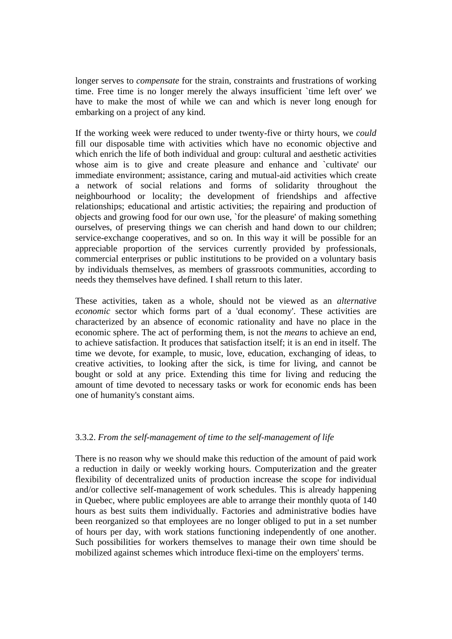longer serves to *compensate* for the strain, constraints and frustrations of working time. Free time is no longer merely the always insufficient `time left over' we have to make the most of while we can and which is never long enough for embarking on a project of any kind.

If the working week were reduced to under twenty-five or thirty hours, we *could* fill our disposable time with activities which have no economic objective and which enrich the life of both individual and group: cultural and aesthetic activities whose aim is to give and create pleasure and enhance and `cultivate' our immediate environment; assistance, caring and mutual-aid activities which create a network of social relations and forms of solidarity throughout the neighbourhood or locality; the development of friendships and affective relationships; educational and artistic activities; the repairing and production of objects and growing food for our own use, `for the pleasure' of making something ourselves, of preserving things we can cherish and hand down to our children; service-exchange cooperatives, and so on. In this way it will be possible for an appreciable proportion of the services currently provided by professionals, commercial enterprises or public institutions to be provided on a voluntary basis by individuals themselves, as members of grassroots communities, according to needs they themselves have defined. I shall return to this later.

These activities, taken as a whole, should not be viewed as an *alternative economic* sector which forms part of a 'dual economy'. These activities are characterized by an absence of economic rationality and have no place in the economic sphere. The act of performing them, is not the *means* to achieve an end, to achieve satisfaction. It produces that satisfaction itself; it is an end in itself. The time we devote, for example, to music, love, education, exchanging of ideas, to creative activities, to looking after the sick, is time for living, and cannot be bought or sold at any price. Extending this time for living and reducing the amount of time devoted to necessary tasks or work for economic ends has been one of humanity's constant aims.

#### 3.3.2. *From the self-management of time to the self-management of life*

There is no reason why we should make this reduction of the amount of paid work a reduction in daily or weekly working hours. Computerization and the greater flexibility of decentralized units of production increase the scope for individual and/or collective self-management of work schedules. This is already happening in Quebec, where public employees are able to arrange their monthly quota of 140 hours as best suits them individually. Factories and administrative bodies have been reorganized so that employees are no longer obliged to put in a set number of hours per day, with work stations functioning independently of one another. Such possibilities for workers themselves to manage their own time should be mobilized against schemes which introduce flexi-time on the employers' terms.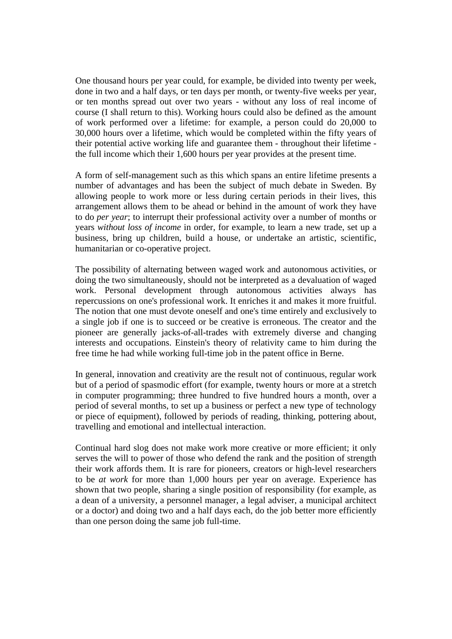One thousand hours per year could, for example, be divided into twenty per week, done in two and a half days, or ten days per month, or twenty-five weeks per year, or ten months spread out over two years - without any loss of real income of course (I shall return to this). Working hours could also be defined as the amount of work performed over a lifetime: for example, a person could do 20,000 to 30,000 hours over a lifetime, which would be completed within the fifty years of their potential active working life and guarantee them - throughout their lifetime the full income which their 1,600 hours per year provides at the present time.

A form of self-management such as this which spans an entire lifetime presents a number of advantages and has been the subject of much debate in Sweden. By allowing people to work more or less during certain periods in their lives, this arrangement allows them to be ahead or behind in the amount of work they have to do *per year*; to interrupt their professional activity over a number of months or years *without loss of income* in order, for example, to learn a new trade, set up a business, bring up children, build a house, or undertake an artistic, scientific, humanitarian or co-operative project.

The possibility of alternating between waged work and autonomous activities, or doing the two simultaneously, should not be interpreted as a devaluation of waged work. Personal development through autonomous activities always has repercussions on one's professional work. It enriches it and makes it more fruitful. The notion that one must devote oneself and one's time entirely and exclusively to a single job if one is to succeed or be creative is erroneous. The creator and the pioneer are generally jacks-of-all-trades with extremely diverse and changing interests and occupations. Einstein's theory of relativity came to him during the free time he had while working full-time job in the patent office in Berne.

In general, innovation and creativity are the result not of continuous, regular work but of a period of spasmodic effort (for example, twenty hours or more at a stretch in computer programming; three hundred to five hundred hours a month, over a period of several months, to set up a business or perfect a new type of technology or piece of equipment), followed by periods of reading, thinking, pottering about, travelling and emotional and intellectual interaction.

Continual hard slog does not make work more creative or more efficient; it only serves the will to power of those who defend the rank and the position of strength their work affords them. It is rare for pioneers, creators or high-level researchers to be *at work* for more than 1,000 hours per year on average. Experience has shown that two people, sharing a single position of responsibility (for example, as a dean of a university, a personnel manager, a legal adviser, a municipal architect or a doctor) and doing two and a half days each, do the job better more efficiently than one person doing the same job full-time.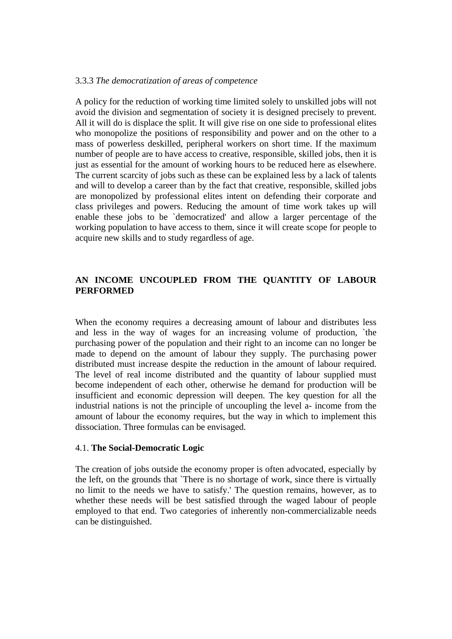#### 3.3.3 *The democratization of areas of competence*

A policy for the reduction of working time limited solely to unskilled jobs will not avoid the division and segmentation of society it is designed precisely to prevent. All it will do is displace the split. It will give rise on one side to professional elites who monopolize the positions of responsibility and power and on the other to a mass of powerless deskilled, peripheral workers on short time. If the maximum number of people are to have access to creative, responsible, skilled jobs, then it is just as essential for the amount of working hours to be reduced here as elsewhere. The current scarcity of jobs such as these can be explained less by a lack of talents and will to develop a career than by the fact that creative, responsible, skilled jobs are monopolized by professional elites intent on defending their corporate and class privileges and powers. Reducing the amount of time work takes up will enable these jobs to be `democratized' and allow a larger percentage of the working population to have access to them, since it will create scope for people to acquire new skills and to study regardless of age.

# **AN INCOME UNCOUPLED FROM THE QUANTITY OF LABOUR PERFORMED**

When the economy requires a decreasing amount of labour and distributes less and less in the way of wages for an increasing volume of production, `the purchasing power of the population and their right to an income can no longer be made to depend on the amount of labour they supply. The purchasing power distributed must increase despite the reduction in the amount of labour required. The level of real income distributed and the quantity of labour supplied must become independent of each other, otherwise he demand for production will be insufficient and economic depression will deepen. The key question for all the industrial nations is not the principle of uncoupling the level a- income from the amount of labour the economy requires, but the way in which to implement this dissociation. Three formulas can be envisaged.

#### 4.1. **The Social-Democratic Logic**

The creation of jobs outside the economy proper is often advocated, especially by the left, on the grounds that `There is no shortage of work, since there is virtually no limit to the needs we have to satisfy.' The question remains, however, as to whether these needs will be best satisfied through the waged labour of people employed to that end. Two categories of inherently non-commercializable needs can be distinguished.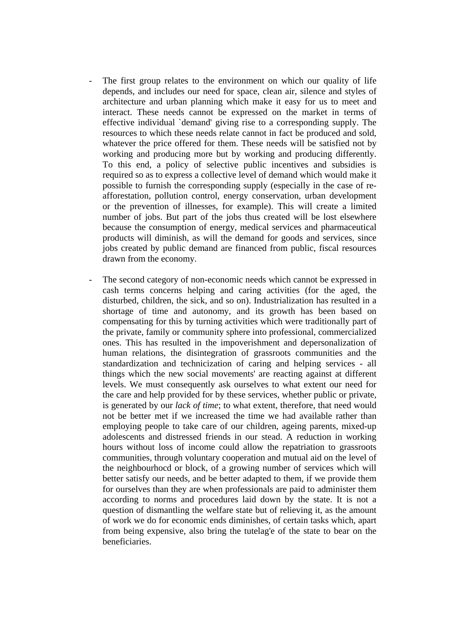- The first group relates to the environment on which our quality of life depends, and includes our need for space, clean air, silence and styles of architecture and urban planning which make it easy for us to meet and interact. These needs cannot be expressed on the market in terms of effective individual `demand' giving rise to a corresponding supply. The resources to which these needs relate cannot in fact be produced and sold, whatever the price offered for them. These needs will be satisfied not by working and producing more but by working and producing differently. To this end, a policy of selective public incentives and subsidies is required so as to express a collective level of demand which would make it possible to furnish the corresponding supply (especially in the case of reafforestation, pollution control, energy conservation, urban development or the prevention of illnesses, for example). This will create a limited number of jobs. But part of the jobs thus created will be lost elsewhere because the consumption of energy, medical services and pharmaceutical products will diminish, as will the demand for goods and services, since jobs created by public demand are financed from public, fiscal resources drawn from the economy.
- The second category of non-economic needs which cannot be expressed in cash terms concerns helping and caring activities (for the aged, the disturbed, children, the sick, and so on). Industrialization has resulted in a shortage of time and autonomy, and its growth has been based on compensating for this by turning activities which were traditionally part of the private, family or community sphere into professional, commercialized ones. This has resulted in the impoverishment and depersonalization of human relations, the disintegration of grassroots communities and the standardization and technicization of caring and helping services - all things which the new social movements' are reacting against at different levels. We must consequently ask ourselves to what extent our need for the care and help provided for by these services, whether public or private, is generated by our *lack of time*; to what extent, therefore, that need would not be better met if we increased the time we had available rather than employing people to take care of our children, ageing parents, mixed-up adolescents and distressed friends in our stead. A reduction in working hours without loss of income could allow the repatriation to grassroots communities, through voluntary cooperation and mutual aid on the level of the neighbourhocd or block, of a growing number of services which will better satisfy our needs, and be better adapted to them, if we provide them for ourselves than they are when professionals are paid to administer them according to norms and procedures laid down by the state. It is not a question of dismantling the welfare state but of relieving it, as the amount of work we do for economic ends diminishes, of certain tasks which, apart from being expensive, also bring the tutelag'e of the state to bear on the beneficiaries.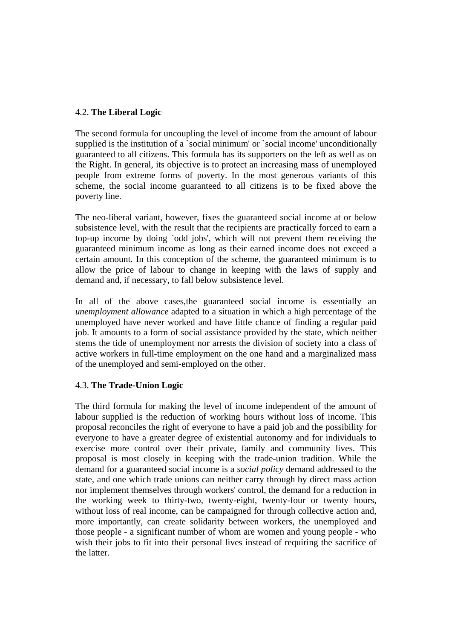# 4.2. **The Liberal Logic**

The second formula for uncoupling the level of income from the amount of labour supplied is the institution of a `social minimum' or `social income' unconditionally guaranteed to all citizens. This formula has its supporters on the left as well as on the Right. In general, its objective is to protect an increasing mass of unemployed people from extreme forms of poverty. In the most generous variants of this scheme, the social income guaranteed to all citizens is to be fixed above the poverty line.

The neo-liberal variant, however, fixes the guaranteed social income at or below subsistence level, with the result that the recipients are practically forced to earn a top-up income by doing `odd jobs', which will not prevent them receiving the guaranteed minimum income as long as their earned income does not exceed a certain amount. In this conception of the scheme, the guaranteed minimum is to allow the price of labour to change in keeping with the laws of supply and demand and, if necessary, to fall below subsistence level.

In all of the above cases,the guaranteed social income is essentially an *unemployment allowance* adapted to a situation in which a high percentage of the unemployed have never worked and have little chance of finding a regular paid job. It amounts to a form of social assistance provided by the state, which neither stems the tide of unemployment nor arrests the division of society into a class of active workers in full-time employment on the one hand and a marginalized mass of the unemployed and semi-employed on the other.

# 4.3. **The Trade-Union Logic**

The third formula for making the level of income independent of the amount of labour supplied is the reduction of working hours without loss of income. This proposal reconciles the right of everyone to have a paid job and the possibility for everyone to have a greater degree of existential autonomy and for individuals to exercise more control over their private, family and community lives. This proposal is most closely in keeping with the trade-union tradition. While the demand for a guaranteed social income is a *social policy* demand addressed to the state, and one which trade unions can neither carry through by direct mass action nor implement themselves through workers' control, the demand for a reduction in the working week to thirty-two, twenty-eight, twenty-four or twenty hours, without loss of real income, can be campaigned for through collective action and, more importantly, can create solidarity between workers, the unemployed and those people - a significant number of whom are women and young people - who wish their jobs to fit into their personal lives instead of requiring the sacrifice of the latter.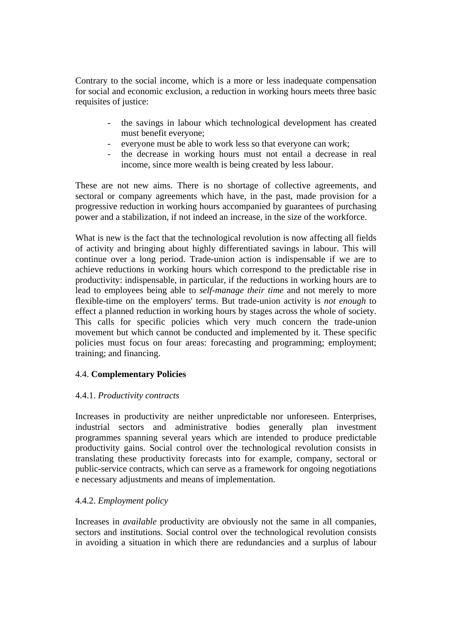Contrary to the social income, which is a more or less inadequate compensation for social and economic exclusion, a reduction in working hours meets three basic requisites of justice:

- the savings in labour which technological development has created must benefit everyone;
- everyone must be able to work less so that everyone can work;
- the decrease in working hours must not entail a decrease in real income, since more wealth is being created by less labour.

These are not new aims. There is no shortage of collective agreements, and sectoral or company agreements which have, in the past, made provision for a progressive reduction in working hours accompanied by guarantees of purchasing power and a stabilization, if not indeed an increase, in the size of the workforce.

What is new is the fact that the technological revolution is now affecting all fields of activity and bringing about highly differentiated savings in labour. This will continue over a long period. Trade-union action is indispensable if we are to achieve reductions in working hours which correspond to the predictable rise in productivity: indispensable, in particular, if the reductions in working hours are to lead to employees being able to *self-manage their time* and not merely to more flexible-time on the employers' terms. But trade-union activity is *not enough* to effect a planned reduction in working hours by stages across the whole of society. This calls for specific policies which very much concern the trade-union movement but which cannot be conducted and implemented by it. These specific policies must focus on four areas: forecasting and programming; employment; training; and financing.

# 4.4. **Complementary Policies**

#### 4.4.1. *Productivity contracts*

Increases in productivity are neither unpredictable nor unforeseen. Enterprises, industrial sectors and administrative bodies generally plan investment programmes spanning several years which are intended to produce predictable productivity gains. Social control over the technological revolution consists in translating these productivity forecasts into for example, company, sectoral or public-service contracts, which can serve as a framework for ongoing negotiations e necessary adjustments and means of implementation.

# 4.4.2. *Employment policy*

Increases in *available* productivity are obviously not the same in all companies, sectors and institutions. Social control over the technological revolution consists in avoiding a situation in which there are redundancies and a surplus of labour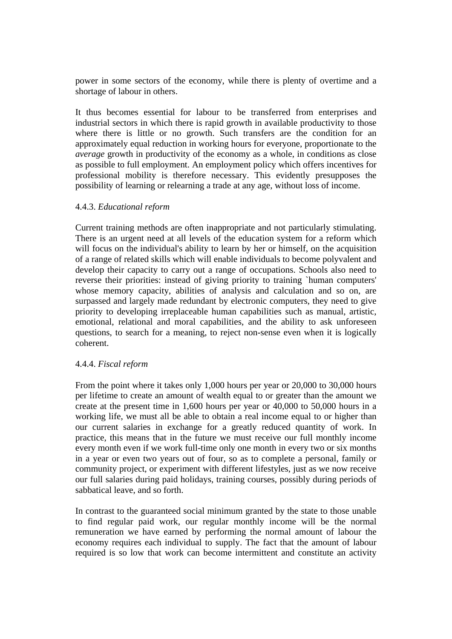power in some sectors of the economy, while there is plenty of overtime and a shortage of labour in others.

It thus becomes essential for labour to be transferred from enterprises and industrial sectors in which there is rapid growth in available productivity to those where there is little or no growth. Such transfers are the condition for an approximately equal reduction in working hours for everyone, proportionate to the *average* growth in productivity of the economy as a whole, in conditions as close as possible to full employment. An employment policy which offers incentives for professional mobility is therefore necessary. This evidently presupposes the possibility of learning or relearning a trade at any age, without loss of income.

#### 4.4.3. *Educational reform*

Current training methods are often inappropriate and not particularly stimulating. There is an urgent need at all levels of the education system for a reform which will focus on the individual's ability to learn by her or himself, on the acquisition of a range of related skills which will enable individuals to become polyvalent and develop their capacity to carry out a range of occupations. Schools also need to reverse their priorities: instead of giving priority to training `human computers' whose memory capacity, abilities of analysis and calculation and so on, are surpassed and largely made redundant by electronic computers, they need to give priority to developing irreplaceable human capabilities such as manual, artistic, emotional, relational and moral capabilities, and the ability to ask unforeseen questions, to search for a meaning, to reject non-sense even when it is logically coherent.

#### 4.4.4. *Fiscal reform*

From the point where it takes only 1,000 hours per year or 20,000 to 30,000 hours per lifetime to create an amount of wealth equal to or greater than the amount we create at the present time in 1,600 hours per year or 40,000 to 50,000 hours in a working life, we must all be able to obtain a real income equal to or higher than our current salaries in exchange for a greatly reduced quantity of work. In practice, this means that in the future we must receive our full monthly income every month even if we work full-time only one month in every two or six months in a year or even two years out of four, so as to complete a personal, family or community project, or experiment with different lifestyles, just as we now receive our full salaries during paid holidays, training courses, possibly during periods of sabbatical leave, and so forth.

In contrast to the guaranteed social minimum granted by the state to those unable to find regular paid work, our regular monthly income will be the normal remuneration we have earned by performing the normal amount of labour the economy requires each individual to supply. The fact that the amount of labour required is so low that work can become intermittent and constitute an activity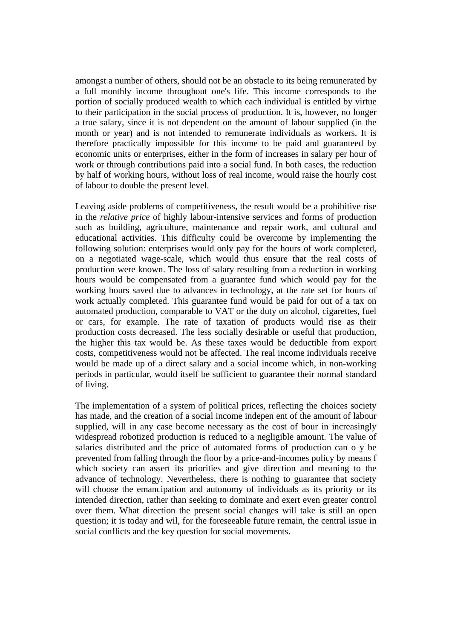amongst a number of others, should not be an obstacle to its being remunerated by a full monthly income throughout one's life. This income corresponds to the portion of socially produced wealth to which each individual is entitled by virtue to their participation in the social process of production. It is, however, no longer a true salary, since it is not dependent on the amount of labour supplied (in the month or year) and is not intended to remunerate individuals as workers. It is therefore practically impossible for this income to be paid and guaranteed by economic units or enterprises, either in the form of increases in salary per hour of work or through contributions paid into a social fund. In both cases, the reduction by half of working hours, without loss of real income, would raise the hourly cost of labour to double the present level.

Leaving aside problems of competitiveness, the result would be a prohibitive rise in the *relative price* of highly labour-intensive services and forms of production such as building, agriculture, maintenance and repair work, and cultural and educational activities. This difficulty could be overcome by implementing the following solution: enterprises would only pay for the hours of work completed, on a negotiated wage-scale, which would thus ensure that the real costs of production were known. The loss of salary resulting from a reduction in working hours would be compensated from a guarantee fund which would pay for the working hours saved due to advances in technology, at the rate set for hours of work actually completed. This guarantee fund would be paid for out of a tax on automated production, comparable to VAT or the duty on alcohol, cigarettes, fuel or cars, for example. The rate of taxation of products would rise as their production costs decreased. The less socially desirable or useful that production, the higher this tax would be. As these taxes would be deductible from export costs, competitiveness would not be affected. The real income individuals receive would be made up of a direct salary and a social income which, in non-working periods in particular, would itself be sufficient to guarantee their normal standard of living.

The implementation of a system of political prices, reflecting the choices society has made, and the creation of a social income indepen ent of the amount of labour supplied, will in any case become necessary as the cost of bour in increasingly widespread robotized production is reduced to a negligible amount. The value of salaries distributed and the price of automated forms of production can o y be prevented from falling through the floor by a price-and-incomes policy by means f which society can assert its priorities and give direction and meaning to the advance of technology. Nevertheless, there is nothing to guarantee that society will choose the emancipation and autonomy of individuals as its priority or its intended direction, rather than seeking to dominate and exert even greater control over them. What direction the present social changes will take is still an open question; it is today and wil, for the foreseeable future remain, the central issue in social conflicts and the key question for social movements.